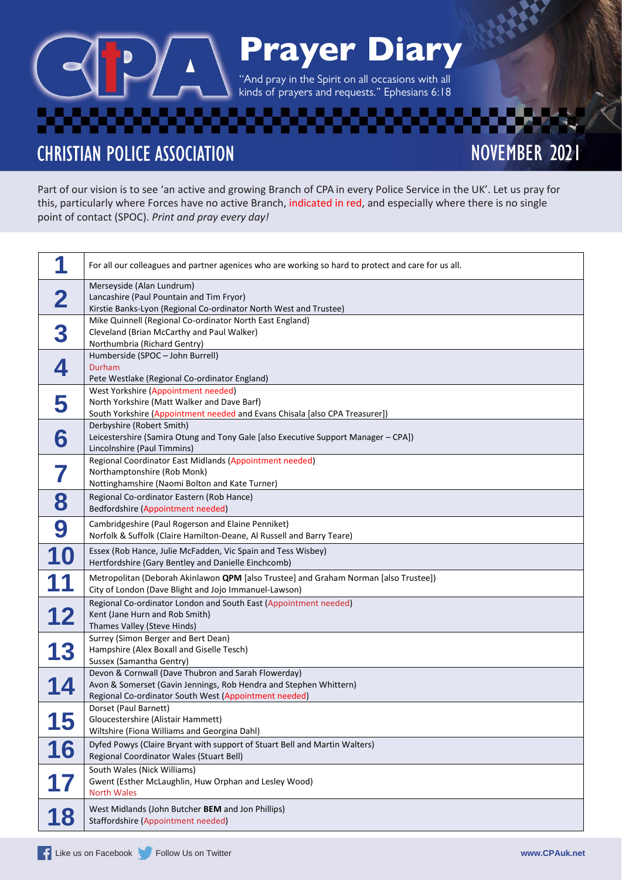# Prayer Diary

''And pray in the Spirit on all occasions with all kinds of prayers and requests." Ephesians 6:18

**CHRISTIAN POLICE ASSOCIATION** 

NOVEMBER 2021

Part of our vision is to see 'an active and growing Branch of CPA in every Police Service in the UK'. Let us pray for this, particularly where Forces have no active Branch, indicated in red, and especially where there is no single point of contact (SPOC). *Print and pray every day!*

|    | For all our colleagues and partner agenices who are working so hard to protect and care for us all.                                                                               |
|----|-----------------------------------------------------------------------------------------------------------------------------------------------------------------------------------|
| 2  | Merseyside (Alan Lundrum)<br>Lancashire (Paul Pountain and Tim Fryor)<br>Kirstie Banks-Lyon (Regional Co-ordinator North West and Trustee)                                        |
| 3  | Mike Quinnell (Regional Co-ordinator North East England)<br>Cleveland (Brian McCarthy and Paul Walker)<br>Northumbria (Richard Gentry)                                            |
| 4  | Humberside (SPOC - John Burrell)<br>Durham<br>Pete Westlake (Regional Co-ordinator England)                                                                                       |
| 5  | West Yorkshire (Appointment needed)<br>North Yorkshire (Matt Walker and Dave Barf)<br>South Yorkshire (Appointment needed and Evans Chisala [also CPA Treasurer])                 |
| 6  | Derbyshire (Robert Smith)<br>Leicestershire (Samira Otung and Tony Gale [also Executive Support Manager - CPA])<br>Lincolnshire (Paul Timmins)                                    |
|    | Regional Coordinator East Midlands (Appointment needed)<br>Northamptonshire (Rob Monk)<br>Nottinghamshire (Naomi Bolton and Kate Turner)                                          |
| 8  | Regional Co-ordinator Eastern (Rob Hance)<br>Bedfordshire (Appointment needed)                                                                                                    |
| 9  | Cambridgeshire (Paul Rogerson and Elaine Penniket)<br>Norfolk & Suffolk (Claire Hamilton-Deane, Al Russell and Barry Teare)                                                       |
| 10 | Essex (Rob Hance, Julie McFadden, Vic Spain and Tess Wisbey)<br>Hertfordshire (Gary Bentley and Danielle Einchcomb)                                                               |
|    | Metropolitan (Deborah Akinlawon QPM [also Trustee] and Graham Norman [also Trustee])<br>City of London (Dave Blight and Jojo Immanuel-Lawson)                                     |
| 12 | Regional Co-ordinator London and South East (Appointment needed)<br>Kent (Jane Hurn and Rob Smith)<br>Thames Valley (Steve Hinds)                                                 |
| 13 | Surrey (Simon Berger and Bert Dean)<br>Hampshire (Alex Boxall and Giselle Tesch)<br>Sussex (Samantha Gentry)                                                                      |
|    | Devon & Cornwall (Dave Thubron and Sarah Flowerday)<br>Avon & Somerset (Gavin Jennings, Rob Hendra and Stephen Whittern)<br>Regional Co-ordinator South West (Appointment needed) |
| 15 | Dorset (Paul Barnett)<br>Gloucestershire (Alistair Hammett)<br>Wiltshire (Fiona Williams and Georgina Dahl)                                                                       |
| 16 | Dyfed Powys (Claire Bryant with support of Stuart Bell and Martin Walters)<br>Regional Coordinator Wales (Stuart Bell)                                                            |
| 17 | South Wales (Nick Williams)<br>Gwent (Esther McLaughlin, Huw Orphan and Lesley Wood)<br><b>North Wales</b>                                                                        |
| 18 | West Midlands (John Butcher BEM and Jon Phillips)<br>Staffordshire (Appointment needed)                                                                                           |